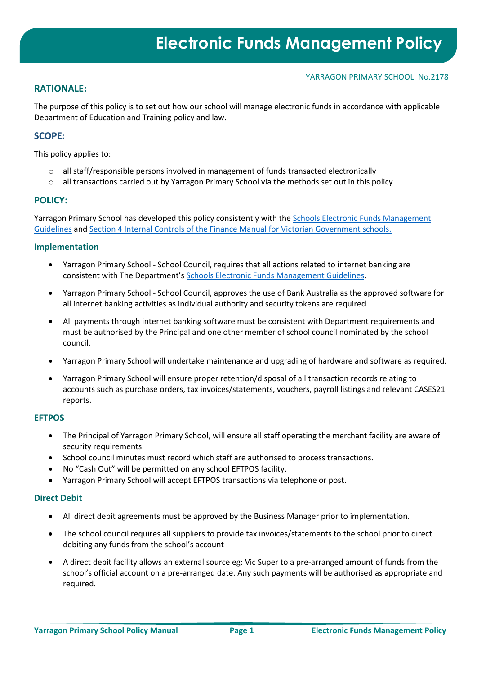#### YARRAGON PRIMARY SCHOOL: No.2178

## **RATIONALE:**

The purpose of this policy is to set out how our school will manage electronic funds in accordance with applicable Department of Education and Training policy and law.

## **SCOPE:**

This policy applies to:

- $\circ$  all staff/responsible persons involved in management of funds transacted electronically
- $\circ$  all transactions carried out by Yarragon Primary School via the methods set out in this policy

### **POLICY:**

Yarragon Primary School has developed this policy consistently with th[e Schools Electronic Funds Management](http://www.education.vic.gov.au/Documents/school/principals/finance/Fin%20Schools%20Electronic%20Funds%20Management%20Guidelines%20V1_2.pdf)  [Guidelines](http://www.education.vic.gov.au/Documents/school/principals/finance/Fin%20Schools%20Electronic%20Funds%20Management%20Guidelines%20V1_2.pdf) an[d Section 4 Internal Controls](https://www2.education.vic.gov.au/pal/internal-controls-finance-manual-section-4/policy) of the Finance Manual for Victorian Government schools.

#### **Implementation**

- Yarragon Primary School School Council, requires that all actions related to internet banking are consistent with The Department'[s Schools Electronic Funds Management Guidelines.](http://www.education.vic.gov.au/Documents/school/principals/finance/Fin%20Schools%20Electronic%20Funds%20Management%20Guidelines%20V1_2.pdf)
- Yarragon Primary School School Council, approves the use of Bank Australia as the approved software for all internet banking activities as individual authority and security tokens are required.
- All payments through internet banking software must be consistent with Department requirements and must be authorised by the Principal and one other member of school council nominated by the school council.
- Yarragon Primary School will undertake maintenance and upgrading of hardware and software as required.
- Yarragon Primary School will ensure proper retention/disposal of all transaction records relating to accounts such as purchase orders, tax invoices/statements, vouchers, payroll listings and relevant CASES21 reports.

#### **EFTPOS**

- The Principal of Yarragon Primary School, will ensure all staff operating the merchant facility are aware of security requirements.
- School council minutes must record which staff are authorised to process transactions.
- No "Cash Out" will be permitted on any school EFTPOS facility.
- Yarragon Primary School will accept EFTPOS transactions via telephone or post.

#### **Direct Debit**

- All direct debit agreements must be approved by the Business Manager prior to implementation.
- The school council requires all suppliers to provide tax invoices/statements to the school prior to direct debiting any funds from the school's account
- A direct debit facility allows an external source eg: Vic Super to a pre-arranged amount of funds from the school's official account on a pre-arranged date. Any such payments will be authorised as appropriate and required.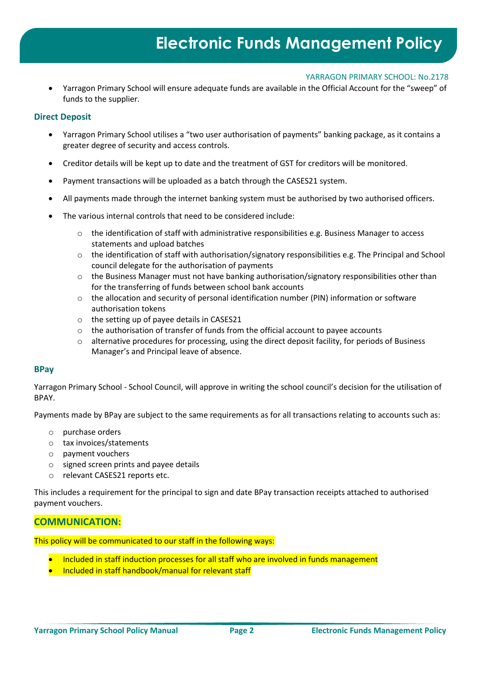#### YARRAGON PRIMARY SCHOOL: No.2178

• Yarragon Primary School will ensure adequate funds are available in the Official Account for the "sweep" of funds to the supplier.

### **Direct Deposit**

- Yarragon Primary School utilises a "two user authorisation of payments" banking package, as it contains a greater degree of security and access controls.
- Creditor details will be kept up to date and the treatment of GST for creditors will be monitored.
- Payment transactions will be uploaded as a batch through the CASES21 system.
- All payments made through the internet banking system must be authorised by two authorised officers.
- The various internal controls that need to be considered include:
	- o the identification of staff with administrative responsibilities e.g. Business Manager to access statements and upload batches
	- o the identification of staff with authorisation/signatory responsibilities e.g. The Principal and School council delegate for the authorisation of payments
	- $\circ$  the Business Manager must not have banking authorisation/signatory responsibilities other than for the transferring of funds between school bank accounts
	- $\circ$  the allocation and security of personal identification number (PIN) information or software authorisation tokens
	- o the setting up of payee details in CASES21
	- o the authorisation of transfer of funds from the official account to payee accounts
	- o alternative procedures for processing, using the direct deposit facility, for periods of Business Manager's and Principal leave of absence.

#### **BPay**

Yarragon Primary School - School Council, will approve in writing the school council's decision for the utilisation of BPAY.

Payments made by BPay are subject to the same requirements as for all transactions relating to accounts such as:

- o purchase orders
- o tax invoices/statements
- o payment vouchers
- o signed screen prints and payee details
- o relevant CASES21 reports etc.

This includes a requirement for the principal to sign and date BPay transaction receipts attached to authorised payment vouchers.

# **COMMUNICATION:**

This policy will be communicated to our staff in the following ways:

- Included in staff induction processes for all staff who are involved in funds management
- Included in staff handbook/manual for relevant staff